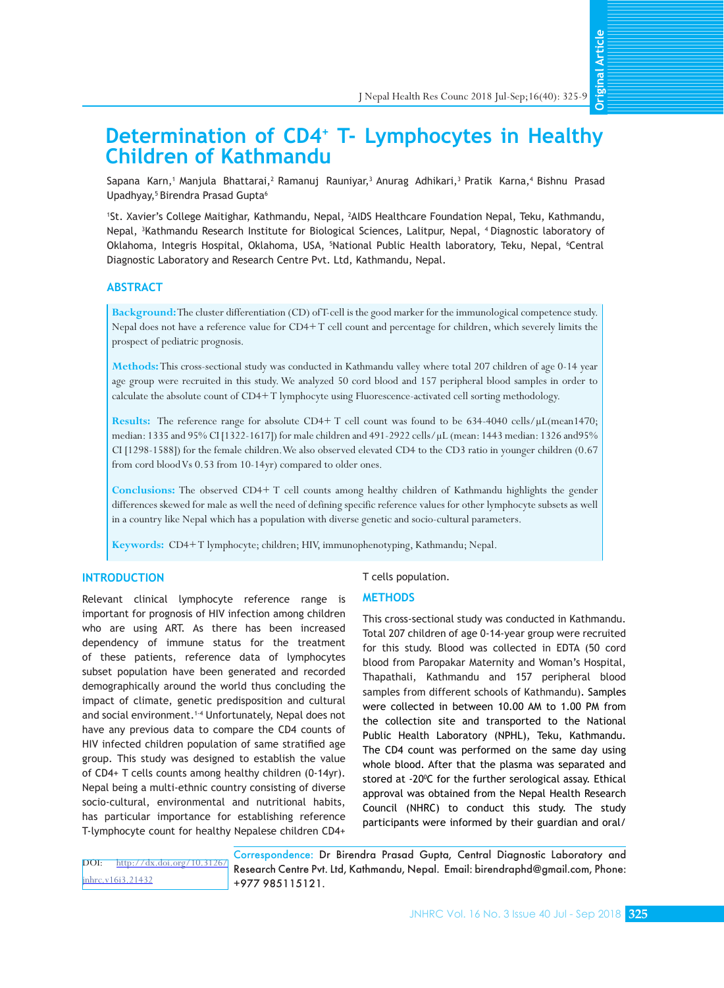**Original Article Original Article**

# **Determination of CD4+ T- Lymphocytes in Healthy Children of Kathmandu**

Sapana Karn,<sup>1</sup> Manjula Bhattarai,<sup>2</sup> Ramanuj Rauniyar,<sup>3</sup> Anurag Adhikari,<sup>3</sup> Pratik Karna,<sup>4</sup> Bishnu Prasad Upadhyay,<sup>5</sup> Birendra Prasad Gupta<sup>6</sup>

1 St. Xavier's College Maitighar, Kathmandu, Nepal, <sup>2</sup> AIDS Healthcare Foundation Nepal, Teku, Kathmandu, Nepal, 3 Kathmandu Research Institute for Biological Sciences, Lalitpur, Nepal, 4 Diagnostic laboratory of Oklahoma, Integris Hospital, Oklahoma, USA, <sup>5</sup> National Public Health laboratory, Teku, Nepal, 6 Central Diagnostic Laboratory and Research Centre Pvt. Ltd, Kathmandu, Nepal.

# **ABSTRACT**

**Background:**The cluster differentiation (CD) of T-cell is the good marker for the immunological competence study. Nepal does not have a reference value for CD4+ T cell count and percentage for children, which severely limits the prospect of pediatric prognosis.

**Methods:**This cross-sectional study was conducted in Kathmandu valley where total 207 children of age 0-14 year age group were recruited in this study. We analyzed 50 cord blood and 157 peripheral blood samples in order to calculate the absolute count of CD4+ T lymphocyte using Fluorescence-activated cell sorting methodology.

**Results:** The reference range for absolute CD4+ T cell count was found to be 634-4040 cells/µL(mean1470; median: 1335 and 95% CI [1322-1617]) for male children and 491-2922 cells/µL (mean: 1443 median: 1326 and95% CI [1298-1588]) for the female children.We also observed elevated CD4 to the CD3 ratio in younger children (0.67 from cord blood Vs 0.53 from 10-14yr) compared to older ones.

**Conclusions:** The observed CD4+ T cell counts among healthy children of Kathmandu highlights the gender differences skewed for male as well the need of defining specific reference values for other lymphocyte subsets as well in a country like Nepal which has a population with diverse genetic and socio-cultural parameters.

**Keywords:** CD4+ T lymphocyte; children; HIV, immunophenotyping, Kathmandu; Nepal.

# **INTRODUCTION**

Relevant clinical lymphocyte reference range is important for prognosis of HIV infection among children who are using ART. As there has been increased dependency of immune status for the treatment of these patients, reference data of lymphocytes subset population have been generated and recorded demographically around the world thus concluding the impact of climate, genetic predisposition and cultural and social environment.<sup>1-4</sup> Unfortunately, Nepal does not have any previous data to compare the CD4 counts of HIV infected children population of same stratified age group. This study was designed to establish the value of CD4+ T cells counts among healthy children (0-14yr). Nepal being a multi-ethnic country consisting of diverse socio-cultural, environmental and nutritional habits, has particular importance for establishing reference T-lymphocyte count for healthy Nepalese children CD4+

T cells population.

#### **METHODS**

This cross-sectional study was conducted in Kathmandu. Total 207 children of age 0-14-year group were recruited for this study. Blood was collected in EDTA (50 cord blood from Paropakar Maternity and Woman's Hospital, Thapathali, Kathmandu and 157 peripheral blood samples from different schools of Kathmandu). Samples were collected in between 10.00 AM to 1.00 PM from the collection site and transported to the National Public Health Laboratory (NPHL), Teku, Kathmandu. The CD4 count was performed on the same day using whole blood. After that the plasma was separated and stored at -20<sup>o</sup>C for the further serological assay. Ethical approval was obtained from the Nepal Health Research Council (NHRC) to conduct this study. The study participants were informed by their guardian and oral/

DOI: [http://dx.doi.org/10.3126/](http://dx.doi.org/10.3126/jnhrc.v16i3.21432) [jnhrc.v16i3.21432](http://dx.doi.org/10.3126/jnhrc.v16i3.21432)

Correspondence: Dr Birendra Prasad Gupta, Central Diagnostic Laboratory and Research Centre Pvt. Ltd, Kathmandu, Nepal. Email: [birendraphd@gmail.com,](mailto:birendraphd@gmail.com) Phone: +977 985115121.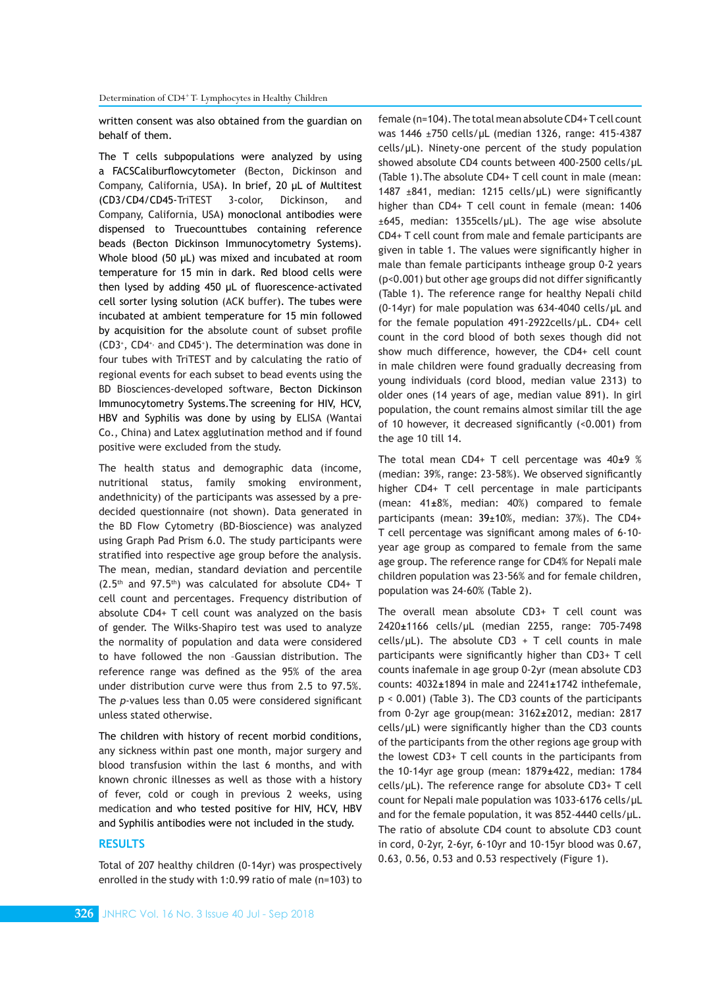written consent was also obtained from the guardian on behalf of them.

The T cells subpopulations were analyzed by using a FACSCaliburflowcytometer (Becton, Dickinson and Company, California, USA). In brief, 20 μL of Multitest (CD3/CD4/CD45-TriTEST 3-color, Dickinson, and Company, California, USA) monoclonal antibodies were dispensed to Truecounttubes containing reference beads (Becton Dickinson Immunocytometry Systems). Whole blood (50 μL) was mixed and incubated at room temperature for 15 min in dark. Red blood cells were then lysed by adding 450 μL of fluorescence-activated cell sorter lysing solution (ACK buffer). The tubes were incubated at ambient temperature for 15 min followed by acquisition for the absolute count of subset profile  $(CD3^*$ ,  $CD4^*$  and  $CD45^*$ ). The determination was done in four tubes with TriTEST and by calculating the ratio of regional events for each subset to bead events using the BD Biosciences-developed software, Becton Dickinson Immunocytometry Systems.The screening for HIV, HCV, HBV and Syphilis was done by using by ELISA (Wantai Co., China) and Latex agglutination method and if found positive were excluded from the study.

The health status and demographic data (income, nutritional status, family smoking environment, andethnicity) of the participants was assessed by a predecided questionnaire (not shown). Data generated in the BD Flow Cytometry (BD-Bioscience) was analyzed using Graph Pad Prism 6.0. The study participants were stratified into respective age group before the analysis. The mean, median, standard deviation and percentile  $(2.5<sup>th</sup>$  and 97.5<sup>th</sup>) was calculated for absolute CD4+ T cell count and percentages. Frequency distribution of absolute CD4+ T cell count was analyzed on the basis of gender. The Wilks-Shapiro test was used to analyze the normality of population and data were considered to have followed the non –Gaussian distribution. The reference range was defined as the 95% of the area under distribution curve were thus from 2.5 to 97.5%. The *p*-values less than 0.05 were considered significant unless stated otherwise.

The children with history of recent morbid conditions, any sickness within past one month, major surgery and blood transfusion within the last 6 months, and with known chronic illnesses as well as those with a history of fever, cold or cough in previous 2 weeks, using medication and who tested positive for HIV, HCV, HBV and Syphilis antibodies were not included in the study.

# **RESULTS**

Total of 207 healthy children (0-14yr) was prospectively enrolled in the study with 1:0.99 ratio of male (n=103) to female (n=104). The total mean absolute CD4+ T cell count was 1446 ±750 cells/µL (median 1326, range: 415-4387 cells/µL). Ninety-one percent of the study population showed absolute CD4 counts between 400-2500 cells/µL (Table 1).The absolute CD4+ T cell count in male (mean: 1487 ±841, median: 1215 cells/µL) were significantly higher than CD4+ T cell count in female (mean: 1406 ±645, median: 1355cells/µL). The age wise absolute CD4+ T cell count from male and female participants are given in table 1. The values were significantly higher in male than female participants intheage group 0-2 years (p<0.001) but other age groups did not differ significantly (Table 1). The reference range for healthy Nepali child (0-14yr) for male population was 634-4040 cells/µL and for the female population 491-2922cells/µL. CD4+ cell count in the cord blood of both sexes though did not show much difference, however, the CD4+ cell count in male children were found gradually decreasing from young individuals (cord blood, median value 2313) to older ones (14 years of age, median value 891). In girl population, the count remains almost similar till the age of 10 however, it decreased significantly (<0.001) from the age 10 till 14.

The total mean CD4+ T cell percentage was 40**±**9 % (median: 39%, range: 23-58%). We observed significantly higher CD4+ T cell percentage in male participants (mean: 41**±**8%, median: 40%) compared to female participants (mean: 39±10%, median: 37%). The CD4+ T cell percentage was significant among males of 6-10 year age group as compared to female from the same age group. The reference range for CD4% for Nepali male children population was 23-56% and for female children, population was 24-60% (Table 2).

The overall mean absolute CD3+ T cell count was 2420**±**1166 cells/μL (median 2255, range: 705-7498 cells/ $\mu$ L). The absolute CD3 + T cell counts in male participants were significantly higher than CD3+ T cell counts inafemale in age group 0-2yr (mean absolute CD3 counts: 4032**±**1894 in male and 2241**±**1742 inthefemale, p < 0.001) (Table 3). The CD3 counts of the participants from 0-2yr age group(mean: 3162**±**2012, median: 2817 cells/μL) were significantly higher than the CD3 counts of the participants from the other regions age group with the lowest CD3+ T cell counts in the participants from the 10-14yr age group (mean: 1879**±**422, median: 1784 cells/μL). The reference range for absolute CD3+ T cell count for Nepali male population was 1033-6176 cells/μL and for the female population, it was 852-4440 cells/μL. The ratio of absolute CD4 count to absolute CD3 count in cord, 0-2yr, 2-6yr, 6-10yr and 10-15yr blood was 0.67, 0.63, 0.56, 0.53 and 0.53 respectively (Figure 1).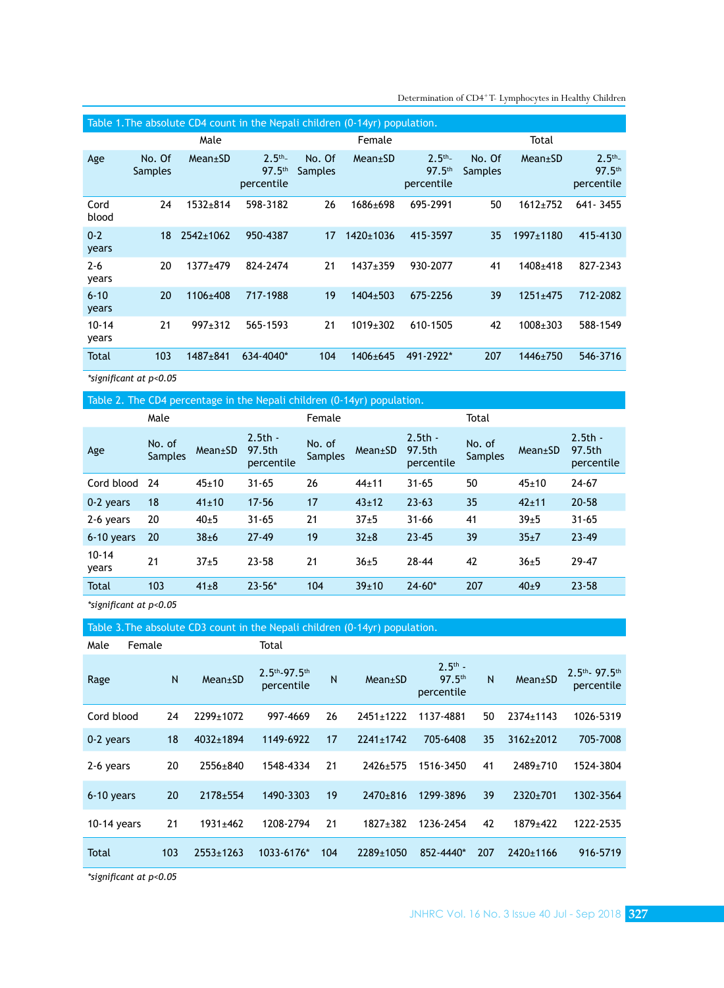| Table 1. The absolute CD4 count in the Nepali children (0-14yr) population. |                   |                 |                                                |                   |                |                                                |                          |                |                                    |  |
|-----------------------------------------------------------------------------|-------------------|-----------------|------------------------------------------------|-------------------|----------------|------------------------------------------------|--------------------------|----------------|------------------------------------|--|
|                                                                             | Male              |                 |                                                |                   | Female         |                                                | Total                    |                |                                    |  |
| Age                                                                         | No. Of<br>Samples | $Mean \pm SD$   | $2.5^{th}$<br>97.5 <sup>th</sup><br>percentile | No. Of<br>Samples | Mean±SD        | $2.5^{th}$<br>97.5 <sup>th</sup><br>percentile | No. Of<br><b>Samples</b> | $Mean \pm SD$  | $2.5^{th}$<br>97.5th<br>percentile |  |
| Cord<br>blood                                                               | 24                | $1532 + 814$    | 598-3182                                       | 26                | 1686±698       | 695-2991                                       | 50                       | $1612 + 752$   | 641 - 3455                         |  |
| $0 - 2$<br>years                                                            | 18                | $2542 \pm 1062$ | 950-4387                                       | 17                | 1420±1036      | 415-3597                                       | 35                       | 1997±1180      | 415-4130                           |  |
| $2 - 6$<br>years                                                            | 20                | $1377 + 479$    | 824-2474                                       | 21                | $1437 + 359$   | 930-2077                                       | 41                       | $1408 + 418$   | 827-2343                           |  |
| $6 - 10$<br>years                                                           | 20                | $1106 \pm 408$  | 717-1988                                       | 19                | $1404 \pm 503$ | 675-2256                                       | 39                       | $1251 \pm 475$ | 712-2082                           |  |
| $10 - 14$<br>years                                                          | 21                | $997+312$       | 565-1593                                       | 21                | $1019 \pm 302$ | 610-1505                                       | 42                       | $1008 + 303$   | 588-1549                           |  |
| Total                                                                       | 103               | $1487 + 841$    | 634-4040*                                      | 104               | $1406 \pm 645$ | 491-2922*                                      | 207                      | 1446±750       | 546-3716                           |  |

Determination of CD4<sup>+</sup>T- Lymphocytes in Healthy Children

*\*significant at p<0.05*

Table 2. The CD4 percentage in the Nepali children (0-14yr) population.

|                    | Male                     |             |                                   | Female                   |            |                                   | Total                    |             |                                   |
|--------------------|--------------------------|-------------|-----------------------------------|--------------------------|------------|-----------------------------------|--------------------------|-------------|-----------------------------------|
| Age                | No. of<br><b>Samples</b> | Mean±SD     | $2.5th -$<br>97.5th<br>percentile | No. of<br><b>Samples</b> | Mean±SD    | $2.5th -$<br>97.5th<br>percentile | No. of<br><b>Samples</b> | Mean±SD     | $2.5th -$<br>97.5th<br>percentile |
| Cord blood         | 24                       | $45 \pm 10$ | $31 - 65$                         | 26                       | $44 + 11$  | $31 - 65$                         | 50                       | $45 \pm 10$ | $24 - 67$                         |
| 0-2 years          | 18                       | $41 \pm 10$ | $17 - 56$                         | 17                       | $43+12$    | $23 - 63$                         | 35                       | $42 \pm 11$ | $20 - 58$                         |
| 2-6 years          | 20                       | $40\pm5$    | $31 - 65$                         | 21                       | $37+5$     | $31 - 66$                         | 41                       | $39 + 5$    | $31 - 65$                         |
| 6-10 years         | 20                       | 38±6        | 27.49                             | 19                       | $32 \pm 8$ | $23 - 45$                         | 39                       | $35 + 7$    | $23 - 49$                         |
| $10 - 14$<br>years | 21                       | $37 + 5$    | 23-58                             | 21                       | $36 + 5$   | $28 - 44$                         | 42                       | $36 + 5$    | $29 - 47$                         |
| <b>Total</b>       | 103                      | $41 \pm 8$  | $23 - 56*$                        | 104                      | 39±10      | $24 - 60*$                        | 207                      | $40\pm9$    | $23 - 58$                         |
|                    |                          |             |                                   |                          |            |                                   |                          |             |                                   |

*\*significant at p<0.05*

# Table 3.The absolute CD3 count in the Nepali children (0-14yr) population.

| Male          | Female |     |                 | Total                          |              |                 |                                               |     |               |                                          |
|---------------|--------|-----|-----------------|--------------------------------|--------------|-----------------|-----------------------------------------------|-----|---------------|------------------------------------------|
| Rage          |        | N   | $Mean \pm SD$   | $2.5th - 97.5th$<br>percentile | $\mathsf{N}$ | Mean±SD         | $2.5th$ -<br>97.5 <sup>th</sup><br>percentile | N   | $Mean \pm SD$ | $2.5th$ 97.5 <sup>th</sup><br>percentile |
| Cord blood    |        | 24  | 2299±1072       | 997-4669                       | 26           | $2451 \pm 1222$ | 1137-4881                                     | 50  | 2374±1143     | 1026-5319                                |
| 0-2 years     |        | 18  | $4032 \pm 1894$ | 1149-6922                      | 17           | $2241 \pm 1742$ | 705-6408                                      | 35  | $3162 + 2012$ | 705-7008                                 |
| 2-6 years     |        | 20  | 2556±840        | 1548-4334                      | 21           | 2426±575        | 1516-3450                                     | 41  | 2489±710      | 1524-3804                                |
| 6-10 years    |        | 20  | 2178±554        | 1490-3303                      | 19           | 2470±816        | 1299-3896                                     | 39  | 2320±701      | 1302-3564                                |
| $10-14$ years |        | 21  | $1931 \pm 462$  | 1208-2794                      | 21           | $1827 \pm 382$  | 1236-2454                                     | 42  | 1879±422      | 1222-2535                                |
| Total         |        | 103 | 2553±1263       | 1033-6176*                     | 104          | 2289±1050       | 852-4440*                                     | 207 | 2420±1166     | 916-5719                                 |

*\*significant at p<0.05*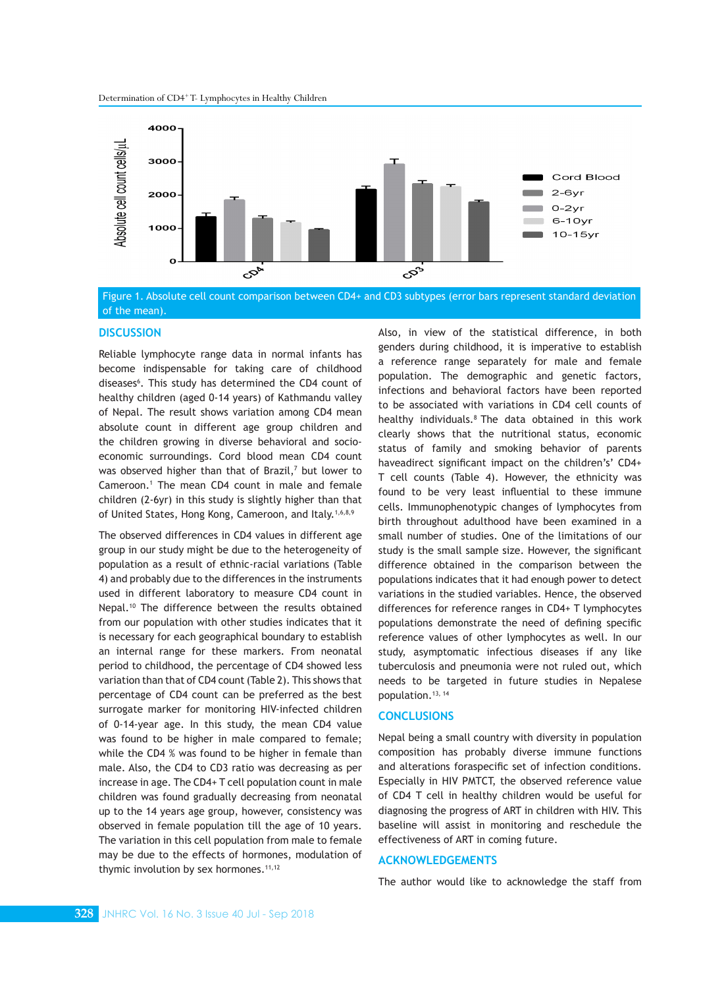

Figure 1. Absolute cell count comparison between CD4+ and CD3 subtypes (error bars represent standard deviation of the mean).

### **DISCUSSION**

Reliable lymphocyte range data in normal infants has become indispensable for taking care of childhood diseases<sup>6</sup>. This study has determined the CD4 count of healthy children (aged 0-14 years) of Kathmandu valley of Nepal. The result shows variation among CD4 mean absolute count in different age group children and the children growing in diverse behavioral and socioeconomic surroundings. Cord blood mean CD4 count was observed higher than that of Brazil,<sup>7</sup> but lower to Cameroon.<sup>1</sup> The mean CD4 count in male and female children (2-6yr) in this study is slightly higher than that of United States, Hong Kong, Cameroon, and Italy.<sup>1,6,8,9</sup>

The observed differences in CD4 values in different age group in our study might be due to the heterogeneity of population as a result of ethnic-racial variations (Table 4) and probably due to the differences in the instruments used in different laboratory to measure CD4 count in Nepal.10 The difference between the results obtained from our population with other studies indicates that it is necessary for each geographical boundary to establish an internal range for these markers. From neonatal period to childhood, the percentage of CD4 showed less variation than that of CD4 count (Table 2). This shows that percentage of CD4 count can be preferred as the best surrogate marker for monitoring HIV-infected children of 0-14-year age. In this study, the mean CD4 value was found to be higher in male compared to female; while the CD4 % was found to be higher in female than male. Also, the CD4 to CD3 ratio was decreasing as per increase in age. The CD4+ T cell population count in male children was found gradually decreasing from neonatal up to the 14 years age group, however, consistency was observed in female population till the age of 10 years. The variation in this cell population from male to female may be due to the effects of hormones, modulation of thymic involution by sex hormones. $11,12$ 

Also, in view of the statistical difference, in both genders during childhood, it is imperative to establish a reference range separately for male and female population. The demographic and genetic factors, infections and behavioral factors have been reported to be associated with variations in CD4 cell counts of healthy individuals.<sup>8</sup> The data obtained in this work clearly shows that the nutritional status, economic status of family and smoking behavior of parents haveadirect significant impact on the children's' CD4+ T cell counts (Table 4). However, the ethnicity was found to be very least influential to these immune cells. Immunophenotypic changes of lymphocytes from birth throughout adulthood have been examined in a small number of studies. One of the limitations of our study is the small sample size. However, the significant difference obtained in the comparison between the populations indicates that it had enough power to detect variations in the studied variables. Hence, the observed differences for reference ranges in CD4+ T lymphocytes populations demonstrate the need of defining specific reference values of other lymphocytes as well. In our study, asymptomatic infectious diseases if any like tuberculosis and pneumonia were not ruled out, which needs to be targeted in future studies in Nepalese population.13, 14

## **CONCLUSIONS**

Nepal being a small country with diversity in population composition has probably diverse immune functions and alterations foraspecific set of infection conditions. Especially in HIV PMTCT, the observed reference value of CD4 T cell in healthy children would be useful for diagnosing the progress of ART in children with HIV. This baseline will assist in monitoring and reschedule the effectiveness of ART in coming future.

## **ACKNOWLEDGEMENTS**

The author would like to acknowledge the staff from